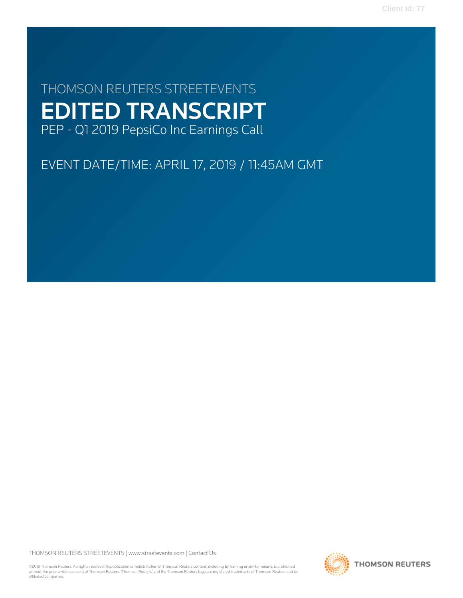**Client Id: 77**

# THOMSON REUTERS STREETEVENTS EDITED TRANSCRIPT PEP - Q1 2019 PepsiCo Inc Earnings Call

EVENT DATE/TIME: APRIL 17, 2019 / 11:45AM GMT

THOMSON REUTERS STREETEVENTS | [www.streetevents.com](http://www.streetevents.com) | [Contact Us](http://www010.streetevents.com/contact.asp)

©2019 Thomson Reuters. All rights reserved. Republication or redistribution of Thomson Reuters content, including by framing or similar means, is prohibited without the prior written consent of Thomson Reuters. 'Thomson Reuters' and the Thomson Reuters logo are registered trademarks of Thomson Reuters and its affiliated companies.

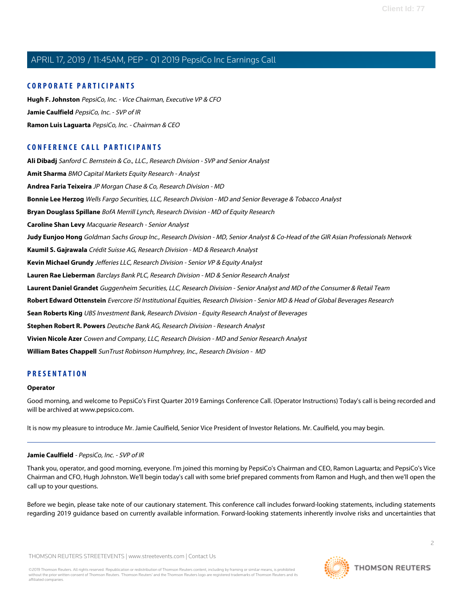### **CORPORATE PARTICIPANTS**

**[Hugh F. Johnston](#page-3-0)** PepsiCo, Inc. - Vice Chairman, Executive VP & CFO **[Jamie Caulfield](#page-1-0)** PepsiCo, Inc. - SVP of IR **[Ramon Luis Laguarta](#page-2-0)** PepsiCo, Inc. - Chairman & CEO

### **CONFERENCE CALL PARTICIPANTS**

**[Ali Dibadj](#page-5-0)** Sanford C. Bernstein & Co., LLC., Research Division - SVP and Senior Analyst **[Amit Sharma](#page-10-0)** BMO Capital Markets Equity Research - Analyst **[Andrea Faria Teixeira](#page-6-0)** JP Morgan Chase & Co, Research Division - MD **[Bonnie Lee Herzog](#page-6-1)** Wells Fargo Securities, LLC, Research Division - MD and Senior Beverage & Tobacco Analyst **[Bryan Douglass Spillane](#page-4-0)** BofA Merrill Lynch, Research Division - MD of Equity Research **[Caroline Shan Levy](#page-8-0)** Macquarie Research - Senior Analyst **[Judy Eunjoo Hong](#page-4-1)** Goldman Sachs Group Inc., Research Division - MD, Senior Analyst & Co-Head of the GIR Asian Professionals Network **[Kaumil S. Gajrawala](#page-7-0)** Crédit Suisse AG, Research Division - MD & Research Analyst **[Kevin Michael Grundy](#page-11-0)** Jefferies LLC, Research Division - Senior VP & Equity Analyst **[Lauren Rae Lieberman](#page-3-1)** Barclays Bank PLC, Research Division - MD & Senior Research Analyst **[Laurent Daniel Grandet](#page-11-1)** Guggenheim Securities, LLC, Research Division - Senior Analyst and MD of the Consumer & Retail Team **[Robert Edward Ottenstein](#page-9-0)** Evercore ISI Institutional Equities, Research Division - Senior MD & Head of Global Beverages Research **[Sean Roberts King](#page-12-0)** UBS Investment Bank, Research Division - Equity Research Analyst of Beverages **[Stephen Robert R. Powers](#page-9-1)** Deutsche Bank AG, Research Division - Research Analyst **[Vivien Nicole Azer](#page-7-1)** Cowen and Company, LLC, Research Division - MD and Senior Research Analyst **[William Bates Chappell](#page-10-1)** SunTrust Robinson Humphrey, Inc., Research Division - MD

### **PRESENTATION**

### **Operator**

<span id="page-1-0"></span>Good morning, and welcome to PepsiCo's First Quarter 2019 Earnings Conference Call. (Operator Instructions) Today's call is being recorded and will be archived at www.pepsico.com.

It is now my pleasure to introduce Mr. Jamie Caulfield, Senior Vice President of Investor Relations. Mr. Caulfield, you may begin.

### **Jamie Caulfield** - PepsiCo, Inc. - SVP of IR

Thank you, operator, and good morning, everyone. I'm joined this morning by PepsiCo's Chairman and CEO, Ramon Laguarta; and PepsiCo's Vice Chairman and CFO, Hugh Johnston. We'll begin today's call with some brief prepared comments from Ramon and Hugh, and then we'll open the call up to your questions.

Before we begin, please take note of our cautionary statement. This conference call includes forward-looking statements, including statements regarding 2019 guidance based on currently available information. Forward-looking statements inherently involve risks and uncertainties that

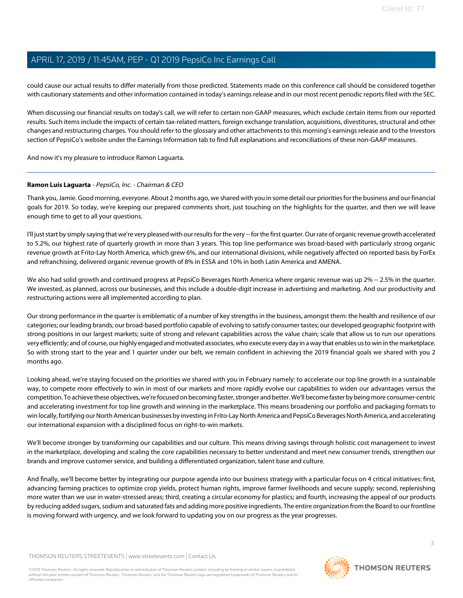could cause our actual results to differ materially from those predicted. Statements made on this conference call should be considered together with cautionary statements and other information contained in today's earnings release and in our most recent periodic reports filed with the SEC.

When discussing our financial results on today's call, we will refer to certain non-GAAP measures, which exclude certain items from our reported results. Such items include the impacts of certain tax-related matters, foreign exchange translation, acquisitions, divestitures, structural and other changes and restructuring charges. You should refer to the glossary and other attachments to this morning's earnings release and to the Investors section of PepsiCo's website under the Earnings Information tab to find full explanations and reconciliations of these non-GAAP measures.

<span id="page-2-0"></span>And now it's my pleasure to introduce Ramon Laguarta.

### **Ramon Luis Laguarta** - PepsiCo, Inc. - Chairman & CEO

Thank you, Jamie. Good morning, everyone. About 2 months ago, we shared with you in some detail our priorities for the business and our financial goals for 2019. So today, we're keeping our prepared comments short, just touching on the highlights for the quarter, and then we will leave enough time to get to all your questions.

I'll just start by simply saying that we're very pleased with our results for the very -- for the first quarter. Our rate of organic revenue growth accelerated to 5.2%, our highest rate of quarterly growth in more than 3 years. This top line performance was broad-based with particularly strong organic revenue growth at Frito-Lay North America, which grew 6%, and our international divisions, while negatively affected on reported basis by ForEx and refranchising, delivered organic revenue growth of 8% in ESSA and 10% in both Latin America and AMENA.

We also had solid growth and continued progress at PepsiCo Beverages North America where organic revenue was up 2% -- 2.5% in the quarter. We invested, as planned, across our businesses, and this include a double-digit increase in advertising and marketing. And our productivity and restructuring actions were all implemented according to plan.

Our strong performance in the quarter is emblematic of a number of key strengths in the business, amongst them: the health and resilience of our categories; our leading brands; our broad-based portfolio capable of evolving to satisfy consumer tastes; our developed geographic footprint with strong positions in our largest markets; suite of strong and relevant capabilities across the value chain; scale that allow us to run our operations very efficiently; and of course, our highly engaged and motivated associates, who execute every day in a way that enables us to win in the marketplace. So with strong start to the year and 1 quarter under our belt, we remain confident in achieving the 2019 financial goals we shared with you 2 months ago.

Looking ahead, we're staying focused on the priorities we shared with you in February namely: to accelerate our top line growth in a sustainable way, to compete more effectively to win in most of our markets and more rapidly evolve our capabilities to widen our advantages versus the competition. To achieve these objectives, we're focused on becoming faster, stronger and better. We'll become faster by being more consumer-centric and accelerating investment for top line growth and winning in the marketplace. This means broadening our portfolio and packaging formats to win locally, fortifying our North American businesses by investing in Frito-Lay North America and PepsiCo Beverages North America, and accelerating our international expansion with a disciplined focus on right-to-win markets.

We'll become stronger by transforming our capabilities and our culture. This means driving savings through holistic cost management to invest in the marketplace, developing and scaling the core capabilities necessary to better understand and meet new consumer trends, strengthen our brands and improve customer service, and building a differentiated organization, talent base and culture.

And finally, we'll become better by integrating our purpose agenda into our business strategy with a particular focus on 4 critical initiatives: first, advancing farming practices to optimize crop yields, protect human rights, improve farmer livelihoods and secure supply; second, replenishing more water than we use in water-stressed areas; third, creating a circular economy for plastics; and fourth, increasing the appeal of our products by reducing added sugars, sodium and saturated fats and adding more positive ingredients. The entire organization from the Board to our frontline is moving forward with urgency, and we look forward to updating you on our progress as the year progresses.

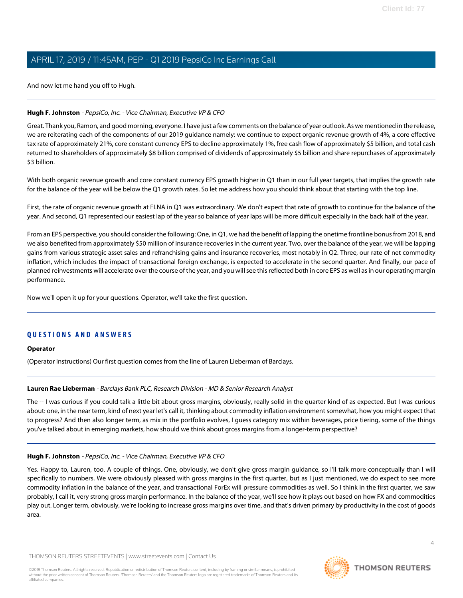And now let me hand you off to Hugh.

### <span id="page-3-0"></span>**Hugh F. Johnston** - PepsiCo, Inc. - Vice Chairman, Executive VP & CFO

Great. Thank you, Ramon, and good morning, everyone. I have just a few comments on the balance of year outlook. As we mentioned in the release, we are reiterating each of the components of our 2019 guidance namely: we continue to expect organic revenue growth of 4%, a core effective tax rate of approximately 21%, core constant currency EPS to decline approximately 1%, free cash flow of approximately \$5 billion, and total cash returned to shareholders of approximately \$8 billion comprised of dividends of approximately \$5 billion and share repurchases of approximately \$3 billion.

With both organic revenue growth and core constant currency EPS growth higher in Q1 than in our full year targets, that implies the growth rate for the balance of the year will be below the Q1 growth rates. So let me address how you should think about that starting with the top line.

First, the rate of organic revenue growth at FLNA in Q1 was extraordinary. We don't expect that rate of growth to continue for the balance of the year. And second, Q1 represented our easiest lap of the year so balance of year laps will be more difficult especially in the back half of the year.

From an EPS perspective, you should consider the following: One, in Q1, we had the benefit of lapping the onetime frontline bonus from 2018, and we also benefited from approximately \$50 million of insurance recoveries in the current year. Two, over the balance of the year, we will be lapping gains from various strategic asset sales and refranchising gains and insurance recoveries, most notably in Q2. Three, our rate of net commodity inflation, which includes the impact of transactional foreign exchange, is expected to accelerate in the second quarter. And finally, our pace of planned reinvestments will accelerate over the course of the year, and you will see this reflected both in core EPS as well as in our operating margin performance.

Now we'll open it up for your questions. Operator, we'll take the first question.

### **QUESTIONS AND ANSWERS**

### <span id="page-3-1"></span>**Operator**

(Operator Instructions) Our first question comes from the line of Lauren Lieberman of Barclays.

### **Lauren Rae Lieberman** - Barclays Bank PLC, Research Division - MD & Senior Research Analyst

The -- I was curious if you could talk a little bit about gross margins, obviously, really solid in the quarter kind of as expected. But I was curious about: one, in the near term, kind of next year let's call it, thinking about commodity inflation environment somewhat, how you might expect that to progress? And then also longer term, as mix in the portfolio evolves, I guess category mix within beverages, price tiering, some of the things you've talked about in emerging markets, how should we think about gross margins from a longer-term perspective?

### **Hugh F. Johnston** - PepsiCo, Inc. - Vice Chairman, Executive VP & CFO

Yes. Happy to, Lauren, too. A couple of things. One, obviously, we don't give gross margin guidance, so I'll talk more conceptually than I will specifically to numbers. We were obviously pleased with gross margins in the first quarter, but as I just mentioned, we do expect to see more commodity inflation in the balance of the year, and transactional ForEx will pressure commodities as well. So I think in the first quarter, we saw probably, I call it, very strong gross margin performance. In the balance of the year, we'll see how it plays out based on how FX and commodities play out. Longer term, obviously, we're looking to increase gross margins over time, and that's driven primary by productivity in the cost of goods area.

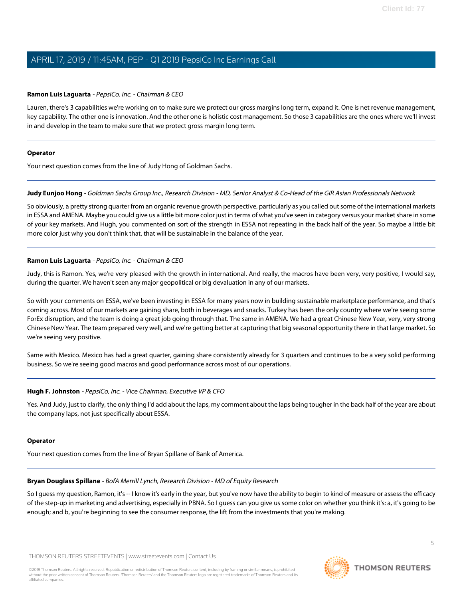### **Ramon Luis Laguarta** - PepsiCo, Inc. - Chairman & CEO

Lauren, there's 3 capabilities we're working on to make sure we protect our gross margins long term, expand it. One is net revenue management, key capability. The other one is innovation. And the other one is holistic cost management. So those 3 capabilities are the ones where we'll invest in and develop in the team to make sure that we protect gross margin long term.

### **Operator**

<span id="page-4-1"></span>Your next question comes from the line of Judy Hong of Goldman Sachs.

### **Judy Eunjoo Hong** - Goldman Sachs Group Inc., Research Division - MD, Senior Analyst & Co-Head of the GIR Asian Professionals Network

So obviously, a pretty strong quarter from an organic revenue growth perspective, particularly as you called out some of the international markets in ESSA and AMENA. Maybe you could give us a little bit more color just in terms of what you've seen in category versus your market share in some of your key markets. And Hugh, you commented on sort of the strength in ESSA not repeating in the back half of the year. So maybe a little bit more color just why you don't think that, that will be sustainable in the balance of the year.

### **Ramon Luis Laguarta** - PepsiCo, Inc. - Chairman & CEO

Judy, this is Ramon. Yes, we're very pleased with the growth in international. And really, the macros have been very, very positive, I would say, during the quarter. We haven't seen any major geopolitical or big devaluation in any of our markets.

So with your comments on ESSA, we've been investing in ESSA for many years now in building sustainable marketplace performance, and that's coming across. Most of our markets are gaining share, both in beverages and snacks. Turkey has been the only country where we're seeing some ForEx disruption, and the team is doing a great job going through that. The same in AMENA. We had a great Chinese New Year, very, very strong Chinese New Year. The team prepared very well, and we're getting better at capturing that big seasonal opportunity there in that large market. So we're seeing very positive.

Same with Mexico. Mexico has had a great quarter, gaining share consistently already for 3 quarters and continues to be a very solid performing business. So we're seeing good macros and good performance across most of our operations.

### **Hugh F. Johnston** - PepsiCo, Inc. - Vice Chairman, Executive VP & CFO

Yes. And Judy, just to clarify, the only thing I'd add about the laps, my comment about the laps being tougher in the back half of the year are about the company laps, not just specifically about ESSA.

### <span id="page-4-0"></span>**Operator**

Your next question comes from the line of Bryan Spillane of Bank of America.

### **Bryan Douglass Spillane** - BofA Merrill Lynch, Research Division - MD of Equity Research

So I guess my question, Ramon, it's -- I know it's early in the year, but you've now have the ability to begin to kind of measure or assess the efficacy of the step-up in marketing and advertising, especially in PBNA. So I guess can you give us some color on whether you think it's: a, it's going to be enough; and b, you're beginning to see the consumer response, the lift from the investments that you're making.

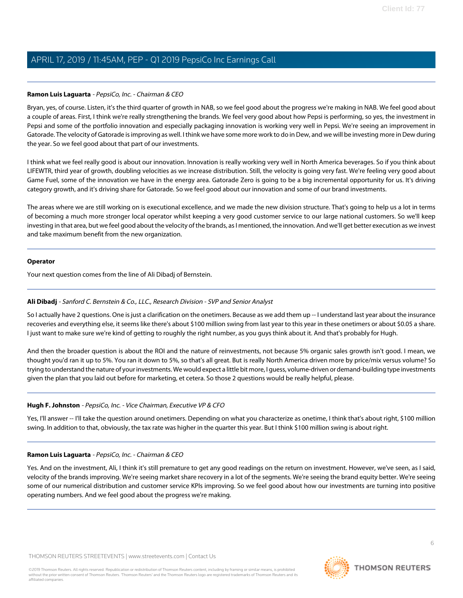### **Ramon Luis Laguarta** - PepsiCo, Inc. - Chairman & CEO

Bryan, yes, of course. Listen, it's the third quarter of growth in NAB, so we feel good about the progress we're making in NAB. We feel good about a couple of areas. First, I think we're really strengthening the brands. We feel very good about how Pepsi is performing, so yes, the investment in Pepsi and some of the portfolio innovation and especially packaging innovation is working very well in Pepsi. We're seeing an improvement in Gatorade. The velocity of Gatorade is improving as well. I think we have some more work to do in Dew, and we will be investing more in Dew during the year. So we feel good about that part of our investments.

I think what we feel really good is about our innovation. Innovation is really working very well in North America beverages. So if you think about LIFEWTR, third year of growth, doubling velocities as we increase distribution. Still, the velocity is going very fast. We're feeling very good about Game Fuel, some of the innovation we have in the energy area. Gatorade Zero is going to be a big incremental opportunity for us. It's driving category growth, and it's driving share for Gatorade. So we feel good about our innovation and some of our brand investments.

The areas where we are still working on is executional excellence, and we made the new division structure. That's going to help us a lot in terms of becoming a much more stronger local operator whilst keeping a very good customer service to our large national customers. So we'll keep investing in that area, but we feel good about the velocity of the brands, as I mentioned, the innovation. And we'll get better execution as we invest and take maximum benefit from the new organization.

### **Operator**

<span id="page-5-0"></span>Your next question comes from the line of Ali Dibadj of Bernstein.

### **Ali Dibadj** - Sanford C. Bernstein & Co., LLC., Research Division - SVP and Senior Analyst

So I actually have 2 questions. One is just a clarification on the onetimers. Because as we add them up -- I understand last year about the insurance recoveries and everything else, it seems like there's about \$100 million swing from last year to this year in these onetimers or about \$0.05 a share. I just want to make sure we're kind of getting to roughly the right number, as you guys think about it. And that's probably for Hugh.

And then the broader question is about the ROI and the nature of reinvestments, not because 5% organic sales growth isn't good. I mean, we thought you'd ran it up to 5%. You ran it down to 5%, so that's all great. But is really North America driven more by price/mix versus volume? So trying to understand the nature of your investments. We would expect a little bit more, I guess, volume-driven or demand-building type investments given the plan that you laid out before for marketing, et cetera. So those 2 questions would be really helpful, please.

### **Hugh F. Johnston** - PepsiCo, Inc. - Vice Chairman, Executive VP & CFO

Yes, I'll answer -- I'll take the question around onetimers. Depending on what you characterize as onetime, I think that's about right, \$100 million swing. In addition to that, obviously, the tax rate was higher in the quarter this year. But I think \$100 million swing is about right.

### **Ramon Luis Laguarta** - PepsiCo, Inc. - Chairman & CEO

Yes. And on the investment, Ali, I think it's still premature to get any good readings on the return on investment. However, we've seen, as I said, velocity of the brands improving. We're seeing market share recovery in a lot of the segments. We're seeing the brand equity better. We're seeing some of our numerical distribution and customer service KPIs improving. So we feel good about how our investments are turning into positive operating numbers. And we feel good about the progress we're making.

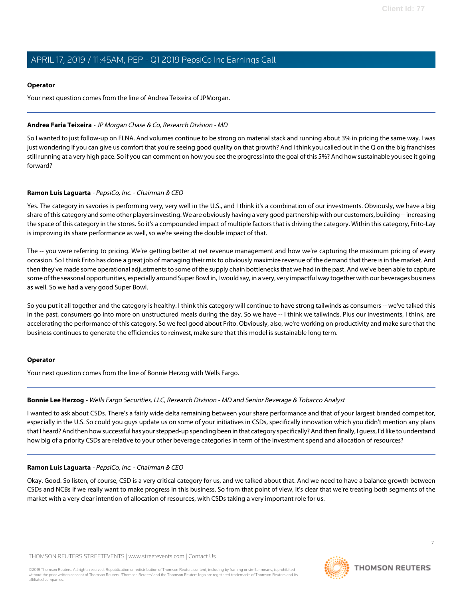### **Operator**

Your next question comes from the line of Andrea Teixeira of JPMorgan.

### <span id="page-6-0"></span>**Andrea Faria Teixeira** - JP Morgan Chase & Co, Research Division - MD

So I wanted to just follow-up on FLNA. And volumes continue to be strong on material stack and running about 3% in pricing the same way. I was just wondering if you can give us comfort that you're seeing good quality on that growth? And I think you called out in the Q on the big franchises still running at a very high pace. So if you can comment on how you see the progress into the goal of this 5%? And how sustainable you see it going forward?

### **Ramon Luis Laguarta** - PepsiCo, Inc. - Chairman & CEO

Yes. The category in savories is performing very, very well in the U.S., and I think it's a combination of our investments. Obviously, we have a big share of this category and some other players investing. We are obviously having a very good partnership with our customers, building -- increasing the space of this category in the stores. So it's a compounded impact of multiple factors that is driving the category. Within this category, Frito-Lay is improving its share performance as well, so we're seeing the double impact of that.

The -- you were referring to pricing. We're getting better at net revenue management and how we're capturing the maximum pricing of every occasion. So I think Frito has done a great job of managing their mix to obviously maximize revenue of the demand that there is in the market. And then they've made some operational adjustments to some of the supply chain bottlenecks that we had in the past. And we've been able to capture some of the seasonal opportunities, especially around Super Bowl in, I would say, in a very, very impactful way together with our beverages business as well. So we had a very good Super Bowl.

So you put it all together and the category is healthy. I think this category will continue to have strong tailwinds as consumers -- we've talked this in the past, consumers go into more on unstructured meals during the day. So we have -- I think we tailwinds. Plus our investments, I think, are accelerating the performance of this category. So we feel good about Frito. Obviously, also, we're working on productivity and make sure that the business continues to generate the efficiencies to reinvest, make sure that this model is sustainable long term.

### <span id="page-6-1"></span>**Operator**

Your next question comes from the line of Bonnie Herzog with Wells Fargo.

### **Bonnie Lee Herzog** - Wells Fargo Securities, LLC, Research Division - MD and Senior Beverage & Tobacco Analyst

I wanted to ask about CSDs. There's a fairly wide delta remaining between your share performance and that of your largest branded competitor, especially in the U.S. So could you guys update us on some of your initiatives in CSDs, specifically innovation which you didn't mention any plans that I heard? And then how successful has your stepped-up spending been in that category specifically? And then finally, I guess, I'd like to understand how big of a priority CSDs are relative to your other beverage categories in term of the investment spend and allocation of resources?

### **Ramon Luis Laguarta** - PepsiCo, Inc. - Chairman & CEO

Okay. Good. So listen, of course, CSD is a very critical category for us, and we talked about that. And we need to have a balance growth between CSDs and NCBs if we really want to make progress in this business. So from that point of view, it's clear that we're treating both segments of the market with a very clear intention of allocation of resources, with CSDs taking a very important role for us.

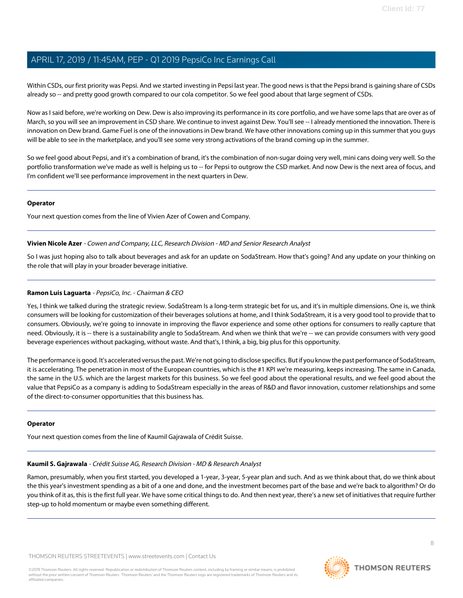Within CSDs, our first priority was Pepsi. And we started investing in Pepsi last year. The good news is that the Pepsi brand is gaining share of CSDs already so -- and pretty good growth compared to our cola competitor. So we feel good about that large segment of CSDs.

Now as I said before, we're working on Dew. Dew is also improving its performance in its core portfolio, and we have some laps that are over as of March, so you will see an improvement in CSD share. We continue to invest against Dew. You'll see -- I already mentioned the innovation. There is innovation on Dew brand. Game Fuel is one of the innovations in Dew brand. We have other innovations coming up in this summer that you guys will be able to see in the marketplace, and you'll see some very strong activations of the brand coming up in the summer.

So we feel good about Pepsi, and it's a combination of brand, it's the combination of non-sugar doing very well, mini cans doing very well. So the portfolio transformation we've made as well is helping us to -- for Pepsi to outgrow the CSD market. And now Dew is the next area of focus, and I'm confident we'll see performance improvement in the next quarters in Dew.

### **Operator**

<span id="page-7-1"></span>Your next question comes from the line of Vivien Azer of Cowen and Company.

### **Vivien Nicole Azer** - Cowen and Company, LLC, Research Division - MD and Senior Research Analyst

So I was just hoping also to talk about beverages and ask for an update on SodaStream. How that's going? And any update on your thinking on the role that will play in your broader beverage initiative.

### **Ramon Luis Laguarta** - PepsiCo, Inc. - Chairman & CEO

Yes, I think we talked during the strategic review. SodaStream Is a long-term strategic bet for us, and it's in multiple dimensions. One is, we think consumers will be looking for customization of their beverages solutions at home, and I think SodaStream, it is a very good tool to provide that to consumers. Obviously, we're going to innovate in improving the flavor experience and some other options for consumers to really capture that need. Obviously, it is -- there is a sustainability angle to SodaStream. And when we think that we're -- we can provide consumers with very good beverage experiences without packaging, without waste. And that's, I think, a big, big plus for this opportunity.

The performance is good. It's accelerated versus the past. We're not going to disclose specifics. But if you know the past performance of SodaStream, it is accelerating. The penetration in most of the European countries, which is the #1 KPI we're measuring, keeps increasing. The same in Canada, the same in the U.S. which are the largest markets for this business. So we feel good about the operational results, and we feel good about the value that PepsiCo as a company is adding to SodaStream especially in the areas of R&D and flavor innovation, customer relationships and some of the direct-to-consumer opportunities that this business has.

### <span id="page-7-0"></span>**Operator**

Your next question comes from the line of Kaumil Gajrawala of Crédit Suisse.

### **Kaumil S. Gajrawala** - Crédit Suisse AG, Research Division - MD & Research Analyst

Ramon, presumably, when you first started, you developed a 1-year, 3-year, 5-year plan and such. And as we think about that, do we think about the this year's investment spending as a bit of a one and done, and the investment becomes part of the base and we're back to algorithm? Or do you think of it as, this is the first full year. We have some critical things to do. And then next year, there's a new set of initiatives that require further step-up to hold momentum or maybe even something different.

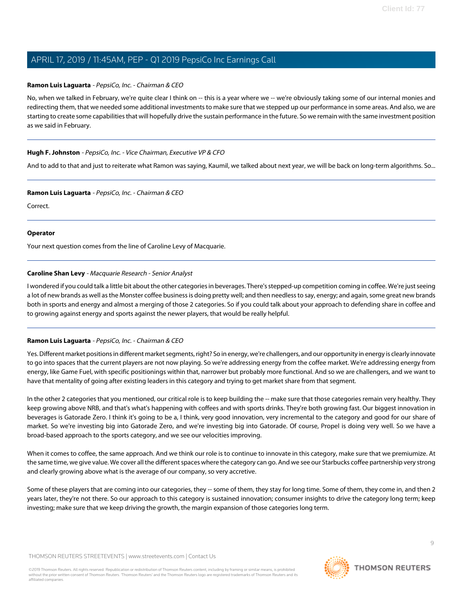### **Ramon Luis Laguarta** - PepsiCo, Inc. - Chairman & CEO

No, when we talked in February, we're quite clear I think on -- this is a year where we -- we're obviously taking some of our internal monies and redirecting them, that we needed some additional investments to make sure that we stepped up our performance in some areas. And also, we are starting to create some capabilities that will hopefully drive the sustain performance in the future. So we remain with the same investment position as we said in February.

### **Hugh F. Johnston** - PepsiCo, Inc. - Vice Chairman, Executive VP & CFO

And to add to that and just to reiterate what Ramon was saying, Kaumil, we talked about next year, we will be back on long-term algorithms. So...

### **Ramon Luis Laguarta** - PepsiCo, Inc. - Chairman & CEO

Correct.

### **Operator**

<span id="page-8-0"></span>Your next question comes from the line of Caroline Levy of Macquarie.

### **Caroline Shan Levy** - Macquarie Research - Senior Analyst

I wondered if you could talk a little bit about the other categories in beverages. There's stepped-up competition coming in coffee. We're just seeing a lot of new brands as well as the Monster coffee business is doing pretty well; and then needless to say, energy; and again, some great new brands both in sports and energy and almost a merging of those 2 categories. So if you could talk about your approach to defending share in coffee and to growing against energy and sports against the newer players, that would be really helpful.

### **Ramon Luis Laguarta** - PepsiCo, Inc. - Chairman & CEO

Yes. Different market positions in different market segments, right? So in energy, we're challengers, and our opportunity in energy is clearly innovate to go into spaces that the current players are not now playing. So we're addressing energy from the coffee market. We're addressing energy from energy, like Game Fuel, with specific positionings within that, narrower but probably more functional. And so we are challengers, and we want to have that mentality of going after existing leaders in this category and trying to get market share from that segment.

In the other 2 categories that you mentioned, our critical role is to keep building the -- make sure that those categories remain very healthy. They keep growing above NRB, and that's what's happening with coffees and with sports drinks. They're both growing fast. Our biggest innovation in beverages is Gatorade Zero. I think it's going to be a, I think, very good innovation, very incremental to the category and good for our share of market. So we're investing big into Gatorade Zero, and we're investing big into Gatorade. Of course, Propel is doing very well. So we have a broad-based approach to the sports category, and we see our velocities improving.

When it comes to coffee, the same approach. And we think our role is to continue to innovate in this category, make sure that we premiumize. At the same time, we give value. We cover all the different spaces where the category can go. And we see our Starbucks coffee partnership very strong and clearly growing above what is the average of our company, so very accretive.

Some of these players that are coming into our categories, they -- some of them, they stay for long time. Some of them, they come in, and then 2 years later, they're not there. So our approach to this category is sustained innovation; consumer insights to drive the category long term; keep investing; make sure that we keep driving the growth, the margin expansion of those categories long term.

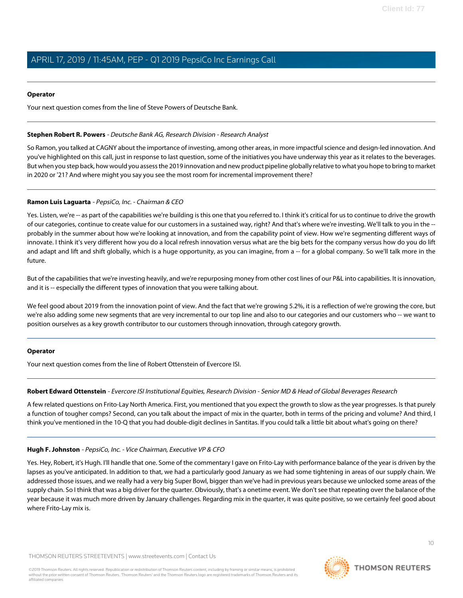### **Operator**

Your next question comes from the line of Steve Powers of Deutsche Bank.

#### <span id="page-9-1"></span>**Stephen Robert R. Powers** - Deutsche Bank AG, Research Division - Research Analyst

So Ramon, you talked at CAGNY about the importance of investing, among other areas, in more impactful science and design-led innovation. And you've highlighted on this call, just in response to last question, some of the initiatives you have underway this year as it relates to the beverages. But when you step back, how would you assess the 2019 innovation and new product pipeline globally relative to what you hope to bring to market in 2020 or '21? And where might you say you see the most room for incremental improvement there?

#### **Ramon Luis Laguarta** - PepsiCo, Inc. - Chairman & CEO

Yes. Listen, we're -- as part of the capabilities we're building is this one that you referred to. I think it's critical for us to continue to drive the growth of our categories, continue to create value for our customers in a sustained way, right? And that's where we're investing. We'll talk to you in the - probably in the summer about how we're looking at innovation, and from the capability point of view. How we're segmenting different ways of innovate. I think it's very different how you do a local refresh innovation versus what are the big bets for the company versus how do you do lift and adapt and lift and shift globally, which is a huge opportunity, as you can imagine, from a -- for a global company. So we'll talk more in the future.

But of the capabilities that we're investing heavily, and we're repurposing money from other cost lines of our P&L into capabilities. It is innovation, and it is -- especially the different types of innovation that you were talking about.

We feel good about 2019 from the innovation point of view. And the fact that we're growing 5.2%, it is a reflection of we're growing the core, but we're also adding some new segments that are very incremental to our top line and also to our categories and our customers who -- we want to position ourselves as a key growth contributor to our customers through innovation, through category growth.

#### <span id="page-9-0"></span>**Operator**

Your next question comes from the line of Robert Ottenstein of Evercore ISI.

### **Robert Edward Ottenstein** - Evercore ISI Institutional Equities, Research Division - Senior MD & Head of Global Beverages Research

A few related questions on Frito-Lay North America. First, you mentioned that you expect the growth to slow as the year progresses. Is that purely a function of tougher comps? Second, can you talk about the impact of mix in the quarter, both in terms of the pricing and volume? And third, I think you've mentioned in the 10-Q that you had double-digit declines in Santitas. If you could talk a little bit about what's going on there?

#### **Hugh F. Johnston** - PepsiCo, Inc. - Vice Chairman, Executive VP & CFO

Yes. Hey, Robert, it's Hugh. I'll handle that one. Some of the commentary I gave on Frito-Lay with performance balance of the year is driven by the lapses as you've anticipated. In addition to that, we had a particularly good January as we had some tightening in areas of our supply chain. We addressed those issues, and we really had a very big Super Bowl, bigger than we've had in previous years because we unlocked some areas of the supply chain. So I think that was a big driver for the quarter. Obviously, that's a onetime event. We don't see that repeating over the balance of the year because it was much more driven by January challenges. Regarding mix in the quarter, it was quite positive, so we certainly feel good about where Frito-Lay mix is.

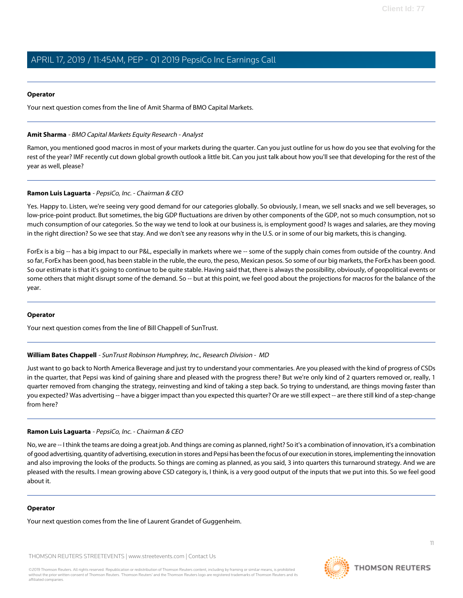#### **Operator**

<span id="page-10-0"></span>Your next question comes from the line of Amit Sharma of BMO Capital Markets.

#### **Amit Sharma** - BMO Capital Markets Equity Research - Analyst

Ramon, you mentioned good macros in most of your markets during the quarter. Can you just outline for us how do you see that evolving for the rest of the year? IMF recently cut down global growth outlook a little bit. Can you just talk about how you'll see that developing for the rest of the year as well, please?

### **Ramon Luis Laguarta** - PepsiCo, Inc. - Chairman & CEO

Yes. Happy to. Listen, we're seeing very good demand for our categories globally. So obviously, I mean, we sell snacks and we sell beverages, so low-price-point product. But sometimes, the big GDP fluctuations are driven by other components of the GDP, not so much consumption, not so much consumption of our categories. So the way we tend to look at our business is, is employment good? Is wages and salaries, are they moving in the right direction? So we see that stay. And we don't see any reasons why in the U.S. or in some of our big markets, this is changing.

ForEx is a big -- has a big impact to our P&L, especially in markets where we -- some of the supply chain comes from outside of the country. And so far, ForEx has been good, has been stable in the ruble, the euro, the peso, Mexican pesos. So some of our big markets, the ForEx has been good. So our estimate is that it's going to continue to be quite stable. Having said that, there is always the possibility, obviously, of geopolitical events or some others that might disrupt some of the demand. So -- but at this point, we feel good about the projections for macros for the balance of the year.

#### <span id="page-10-1"></span>**Operator**

Your next question comes from the line of Bill Chappell of SunTrust.

### **William Bates Chappell** - SunTrust Robinson Humphrey, Inc., Research Division - MD

Just want to go back to North America Beverage and just try to understand your commentaries. Are you pleased with the kind of progress of CSDs in the quarter, that Pepsi was kind of gaining share and pleased with the progress there? But we're only kind of 2 quarters removed or, really, 1 quarter removed from changing the strategy, reinvesting and kind of taking a step back. So trying to understand, are things moving faster than you expected? Was advertising -- have a bigger impact than you expected this quarter? Or are we still expect -- are there still kind of a step-change from here?

### **Ramon Luis Laguarta** - PepsiCo, Inc. - Chairman & CEO

No, we are -- I think the teams are doing a great job. And things are coming as planned, right? So it's a combination of innovation, it's a combination of good advertising, quantity of advertising, execution in stores and Pepsi has been the focus of our execution in stores, implementing the innovation and also improving the looks of the products. So things are coming as planned, as you said, 3 into quarters this turnaround strategy. And we are pleased with the results. I mean growing above CSD category is, I think, is a very good output of the inputs that we put into this. So we feel good about it.

#### **Operator**

Your next question comes from the line of Laurent Grandet of Guggenheim.

THOMSON REUTERS STREETEVENTS | [www.streetevents.com](http://www.streetevents.com) | [Contact Us](http://www010.streetevents.com/contact.asp)

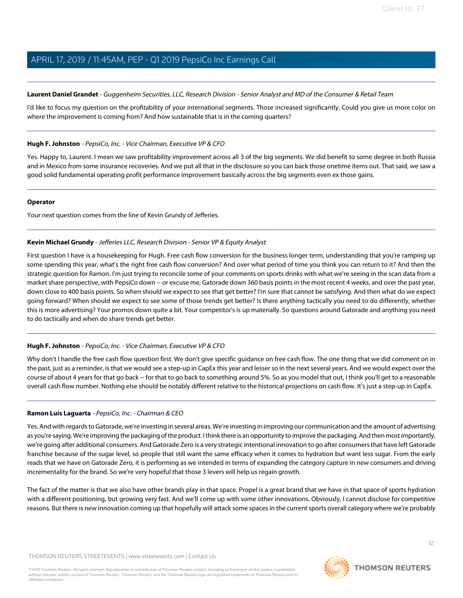### <span id="page-11-1"></span>**Laurent Daniel Grandet** - Guggenheim Securities, LLC, Research Division - Senior Analyst and MD of the Consumer & Retail Team

I'd like to focus my question on the profitability of your international segments. Those increased significantly. Could you give us more color on where the improvement is coming from? And how sustainable that is in the coming quarters?

### **Hugh F. Johnston** - PepsiCo, Inc. - Vice Chairman, Executive VP & CFO

Yes. Happy to, Laurent. I mean we saw profitability improvement across all 3 of the big segments. We did benefit to some degree in both Russia and in Mexico from some insurance recoveries. And we put all that in the disclosure so you can back those onetime items out. That said, we saw a good solid fundamental operating profit performance improvement basically across the big segments even ex those gains.

### **Operator**

<span id="page-11-0"></span>Your next question comes from the line of Kevin Grundy of Jefferies.

### **Kevin Michael Grundy** - Jefferies LLC, Research Division - Senior VP & Equity Analyst

First question I have is a housekeeping for Hugh. Free cash flow conversion for the business longer term, understanding that you're ramping up some spending this year, what's the right free cash flow conversion? And over what period of time you think you can return to it? And then the strategic question for Ramon. I'm just trying to reconcile some of your comments on sports drinks with what we're seeing in the scan data from a market share perspective, with PepsiCo down -- or excuse me, Gatorade down 360 basis points in the most recent 4 weeks, and over the past year, down close to 400 basis points. So when should we expect to see that get better? I'm sure that cannot be satisfying. And then what do we expect going forward? When should we expect to see some of those trends get better? Is there anything tactically you need to do differently, whether this is more advertising? Your promos down quite a bit. Your competitor's is up materially. So questions around Gatorade and anything you need to do tactically and when do share trends get better.

### **Hugh F. Johnston** - PepsiCo, Inc. - Vice Chairman, Executive VP & CFO

Why don't I handle the free cash flow question first. We don't give specific quidance on free cash flow. The one thing that we did comment on in the past, just as a reminder, is that we would see a step-up in CapEx this year and lesser so in the next several years. And we would expect over the course of about 4 years for that go back -- for that to go back to something around 5%. So as you model that out, I think you'll get to a reasonable overall cash flow number. Nothing else should be notably different relative to the historical projections on cash flow. It's just a step-up in CapEx.

### **Ramon Luis Laguarta** - PepsiCo, Inc. - Chairman & CEO

Yes. And with regards to Gatorade, we're investing in several areas. We're investing in improving our communication and the amount of advertising as you're saying. We're improving the packaging of the product. I think there is an opportunity to improve the packaging. And then most importantly, we're going after additional consumers. And Gatorade Zero is a very strategic intentional innovation to go after consumers that have left Gatorade franchise because of the sugar level, so people that still want the same efficacy when it comes to hydration but want less sugar. From the early reads that we have on Gatorade Zero, it is performing as we intended in terms of expanding the category capture in new consumers and driving incrementality for the brand. So we're very hopeful that those 3 levers will help us regain growth.

The fact of the matter is that we also have other brands play in that space. Propel is a great brand that we have in that space of sports hydration with a different positioning, but growing very fast. And we'll come up with some other innovations. Obviously, I cannot disclose for competitive reasons. But there is new innovation coming up that hopefully will attack some spaces in the current sports overall category where we're probably